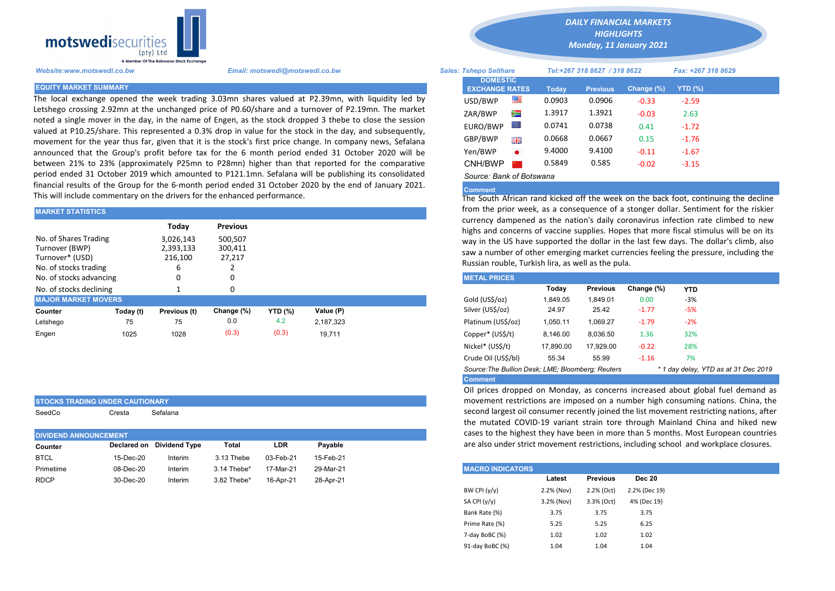

The local exchange opened the week trading 3.03mn shares valued at P2.39mn, with liquidity led by Letshego crossing 2.92mn at the unchanged price of P0.60/share and a turnover of P2.19mn. The market noted a single mover in the day, in the name of Engen, as the stock dropped 3 thebe to close the session valued at P10.25/share. This represented a 0.3% drop in value for the stock in the day, and subsequently, movement for the year thus far, given that it is the stock's first price change. In company news, Sefalana announced that the Group's profit before tax for the 6 month period ended 31 October 2020 will be between 21% to 23% (approximately P25mn to P28mn) higher than that reported for the comparative period ended 31 October 2019 which amounted to P121.1mn. Sefalana will be publishing its consolidated financial results of the Group for the 6-month period ended 31 October 2020 by the end of January 2021. This will include commentary on the drivers for the enhanced performance.

| <b>MARKET STATISTICS</b>    |           |              |                 |                                                                       |           | from the prior week, as a consequence of a stonger dollar. Sentimer |                                                                                                                                             |          |                 |            |            |  |  |  |
|-----------------------------|-----------|--------------|-----------------|-----------------------------------------------------------------------|-----------|---------------------------------------------------------------------|---------------------------------------------------------------------------------------------------------------------------------------------|----------|-----------------|------------|------------|--|--|--|
|                             |           | Todav        | <b>Previous</b> |                                                                       |           |                                                                     | currency dampened as the nation's daily coronavirus infection rate<br>highs and concerns of vaccine supplies. Hopes that more fiscal stimul |          |                 |            |            |  |  |  |
| No. of Shares Trading       |           | 3,026,143    | 500,507         |                                                                       |           |                                                                     | way in the US have supported the dollar in the last few days. The do                                                                        |          |                 |            |            |  |  |  |
| 2,393,133<br>Turnover (BWP) |           |              | 300.411         | saw a number of other emerging market currencies feeling the pressure |           |                                                                     |                                                                                                                                             |          |                 |            |            |  |  |  |
| Turnover* (USD)             |           | 216,100      | 27,217          |                                                                       |           |                                                                     |                                                                                                                                             |          |                 |            |            |  |  |  |
| No. of stocks trading       |           |              |                 |                                                                       |           |                                                                     | Russian rouble, Turkish lira, as well as the pula.                                                                                          |          |                 |            |            |  |  |  |
| No. of stocks advancing     |           |              | 0               |                                                                       |           |                                                                     | <b>METAL PRICES</b>                                                                                                                         |          |                 |            |            |  |  |  |
| No. of stocks declining     |           |              | 0               |                                                                       |           |                                                                     |                                                                                                                                             | Today    | <b>Previous</b> | Change (%) | <b>YTD</b> |  |  |  |
| <b>MAJOR MARKET MOVERS</b>  |           |              |                 |                                                                       |           |                                                                     | Gold (US\$/oz)                                                                                                                              | 1,849.05 | 1,849.01        | 0.00       | $-3%$      |  |  |  |
| Counter                     | Today (t) | Previous (t) | Change (%)      | <b>YTD</b> (%)                                                        | Value (P) |                                                                     | Silver (US\$/oz)                                                                                                                            | 24.97    | 25.42           | $-1.77$    | $-5%$      |  |  |  |
| Letshego                    | 75        | 75           | 0.0             | 4.2                                                                   | 2.187.323 |                                                                     | Platinum (US\$/oz)                                                                                                                          | 1.050.11 | 1.069.27        | $-1.79$    | $-2%$      |  |  |  |
| Engen                       | 1025      | 1028         | (0.3)           | (0.3)                                                                 | 19.711    |                                                                     | Copper* (US\$/t)                                                                                                                            | 8,146.00 | 8.036.50        | 1.36       | 32%        |  |  |  |
|                             |           |              |                 |                                                                       |           |                                                                     |                                                                                                                                             |          |                 |            |            |  |  |  |

| <b>ISTOCKS TRADING UNDER CAUTIONARY</b> |        |          |  |
|-----------------------------------------|--------|----------|--|
| SeedCo                                  | Cresta | Sefalana |  |

|             | <b>DIVIDEND ANNOUNCEMENT</b> |                           |             |           |           |  |  |  |  |
|-------------|------------------------------|---------------------------|-------------|-----------|-----------|--|--|--|--|
| Counter     |                              | Declared on Dividend Type | Total       | LDR       | Pavable   |  |  |  |  |
| <b>BTCL</b> | 15-Dec-20                    | Interim                   | 3.13 Thebe  | 03-Feb-21 | 15-Feb-21 |  |  |  |  |
| Primetime   | 08-Dec-20                    | Interim                   | 3.14 Thebe* | 17-Mar-21 | 29-Mar-21 |  |  |  |  |
| <b>RDCP</b> | 30-Dec-20                    | Interim                   | 3.82 Thebe* | 16-Apr-21 | 28-Apr-21 |  |  |  |  |
|             |                              |                           |             |           |           |  |  |  |  |

*DAILY FINANCIAL MARKETS*

*HIGHLIGHTS Monday, 11 January 2021* 

| A Member Of the Botswand Stock Exchange |                                                                                                                                                                                                                 |                               |                                          |           |        |                              |               |                    |  |
|-----------------------------------------|-----------------------------------------------------------------------------------------------------------------------------------------------------------------------------------------------------------------|-------------------------------|------------------------------------------|-----------|--------|------------------------------|---------------|--------------------|--|
| Website:www.motswedi.co.bw              | Email: motswedi@motswedi.co.bw                                                                                                                                                                                  | <b>Sales: Tshepo Setlhare</b> |                                          |           |        | Tel:+267 318 8627 / 318 8622 |               | Fax: +267 318 8629 |  |
| <b>EQUITY MARKET SUMMARY</b>            |                                                                                                                                                                                                                 |                               | <b>DOMESTIC</b><br><b>EXCHANGE RATES</b> |           | Today  | <b>Previous</b>              | Change $(\%)$ | YTD $(\%)$         |  |
|                                         | The local exchange opened the week trading 3.03mn shares valued at P2.39mn, with liquidity led by                                                                                                               |                               | USD/BWP                                  | 墨         | 0.0903 | 0.0906                       | $-0.33$       | $-2.59$            |  |
|                                         | etshego crossing 2.92mn at the unchanged price of P0.60/share and a turnover of P2.19mn. The market<br>ooted a single mover in the day, in the name of Engen, as the stock dropped 3 thebe to close the session |                               | ZAR/BWP                                  | Ň         | 1.3917 | 1.3921                       | $-0.03$       | 2.63               |  |
|                                         | ralued at P10.25/share. This represented a 0.3% drop in value for the stock in the day, and subseguently,                                                                                                       |                               | EURO/BWP                                 | $\circ$   | 0.0741 | 0.0738                       | 0.41          | $-1.72$            |  |
|                                         | movement for the year thus far, given that it is the stock's first price change. In company news, Sefalana                                                                                                      |                               | GBP/BWP                                  | 開開        | 0.0668 | 0.0667                       | 0.15          | $-1.76$            |  |
|                                         | innounced that the Group's profit before tax for the 6 month period ended 31 October 2020 will be                                                                                                               |                               | Yen/BWP                                  | $\bullet$ | 9.4000 | 9.4100                       | $-0.11$       | $-1.67$            |  |
|                                         | etween 21% to 23% (approximately P25mn to P28mn) higher than that reported for the comparative                                                                                                                  |                               | CNH/BWP                                  |           | 0.5849 | 0.585                        | $-0.02$       | $-3.15$            |  |
|                                         | eriod ended 31 October 2019 which amounted to P121.1mn. Sefalana will be publishing its consolidated                                                                                                            |                               | Source: Bank of Botswana                 |           |        |                              |               |                    |  |

## Comment

The South African rand kicked off the week on the back foot, continuing the decline from the prior week, as a consequence of a stonger dollar. Sentiment for the riskier currency dampened as the nation's daily coronavirus infection rate climbed to new highs and concerns of vaccine supplies. Hopes that more fiscal stimulus will be on its way in the US have supported the dollar in the last few days. The dollar's climb, also saw a number of other emerging market currencies feeling the pressure, including the Russian rouble, Turkish lira, as well as the pula.

| <b>METAL PRICES</b>                                                                       |           |                 |            |            |  |  |  |  |  |
|-------------------------------------------------------------------------------------------|-----------|-----------------|------------|------------|--|--|--|--|--|
|                                                                                           | Today     | <b>Previous</b> | Change (%) | <b>YTD</b> |  |  |  |  |  |
| Gold (US\$/oz)                                                                            | 1.849.05  | 1.849.01        | 0.00       | $-3%$      |  |  |  |  |  |
| Silver (US\$/oz)                                                                          | 24.97     | 25.42           | $-1.77$    | $-5%$      |  |  |  |  |  |
| Platinum (US\$/oz)                                                                        | 1.050.11  | 1.069.27        | $-1.79$    | $-2%$      |  |  |  |  |  |
| Copper* (US\$/t)                                                                          | 8.146.00  | 8.036.50        | 1.36       | 32%        |  |  |  |  |  |
| Nickel* (US\$/t)                                                                          | 17.890.00 | 17.929.00       | $-0.22$    | 28%        |  |  |  |  |  |
| Crude Oil (US\$/bl)                                                                       | 55.34     | 55.99           | $-1.16$    | 7%         |  |  |  |  |  |
| Source: The Bullion Desk; LME; Bloomberg: Reuters<br>* 1 day delay, YTD as at 31 Dec 2019 |           |                 |            |            |  |  |  |  |  |
| <b>Comment</b>                                                                            |           |                 |            |            |  |  |  |  |  |

Oil prices dropped on Monday, as concerns increased about global fuel demand as movement restrictions are imposed on a number high consuming nations. China, the second largest oil consumer recently joined the list movement restricting nations, after the mutated COVID-19 variant strain tore through Mainland China and hiked new cases to the highest they have been in more than 5 months. Most European countries are also under strict movement restrictions, including school and workplace closures.

| <b>MACRO INDICATORS</b> |            |                 |               |
|-------------------------|------------|-----------------|---------------|
|                         | Latest     | <b>Previous</b> | <b>Dec 20</b> |
| BW CPI $(y/y)$          | 2.2% (Nov) | 2.2% (Oct)      | 2.2% (Dec 19) |
| SA CPI (y/y)            | 3.2% (Nov) | 3.3% (Oct)      | 4% (Dec 19)   |
| Bank Rate (%)           | 3.75       | 3.75            | 3.75          |
| Prime Rate (%)          | 5.25       | 5.25            | 6.25          |
| 7-day BoBC (%)          | 1.02       | 1.02            | 1.02          |
| 91-day BoBC (%)         | 1.04       | 1.04            | 1.04          |